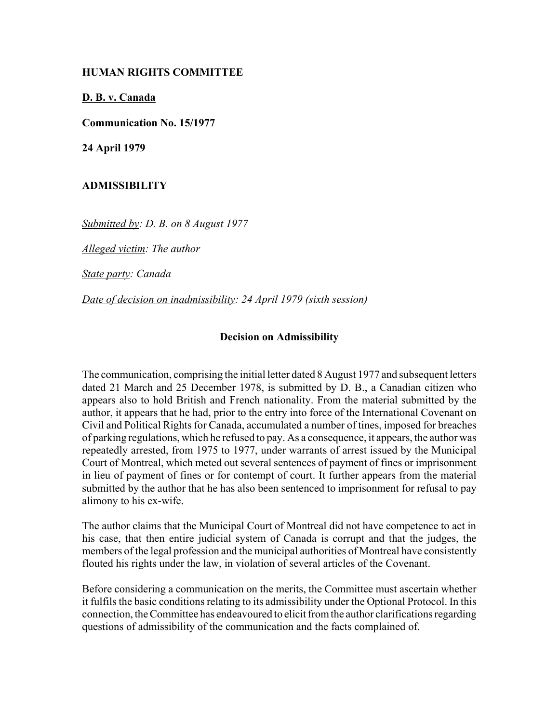## **HUMAN RIGHTS COMMITTEE**

**D. B. v. Canada**

**Communication No. 15/1977**

**24 April 1979**

## **ADMISSIBILITY**

*Submitted by: D. B. on 8 August 1977*

*Alleged victim: The author* 

*State party: Canada* 

*Date of decision on inadmissibility: 24 April 1979 (sixth session)*

## **Decision on Admissibility**

The communication, comprising the initial letter dated 8 August 1977 and subsequent letters dated 21 March and 25 December 1978, is submitted by D. B., a Canadian citizen who appears also to hold British and French nationality. From the material submitted by the author, it appears that he had, prior to the entry into force of the International Covenant on Civil and Political Rights for Canada, accumulated a number of tines, imposed for breaches of parking regulations, which he refused to pay. As a consequence, it appears, the author was repeatedly arrested, from 1975 to 1977, under warrants of arrest issued by the Municipal Court of Montreal, which meted out several sentences of payment of fines or imprisonment in lieu of payment of fines or for contempt of court. It further appears from the material submitted by the author that he has also been sentenced to imprisonment for refusal to pay alimony to his ex-wife.

The author claims that the Municipal Court of Montreal did not have competence to act in his case, that then entire judicial system of Canada is corrupt and that the judges, the members of the legal profession and the municipal authorities of Montreal have consistently flouted his rights under the law, in violation of several articles of the Covenant.

Before considering a communication on the merits, the Committee must ascertain whether it fulfils the basic conditions relating to its admissibility under the Optional Protocol. In this connection, the Committee has endeavoured to elicit from the author clarifications regarding questions of admissibility of the communication and the facts complained of.